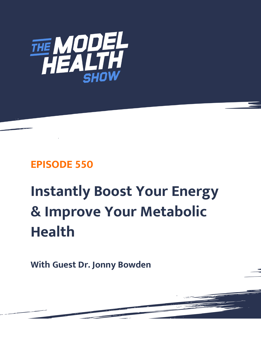

## **EPISODE 550**

# **Instantly Boost Your Energy & Improve Your Metabolic Health**

**With Guest Dr. Jonny Bowden**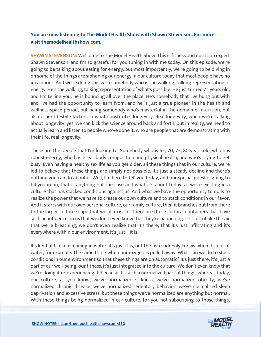### **You are now listening to The Model Health Show with Shawn Stevenson. For more, visit themodelhealthshow.com.**

**SHAWN STEVENSON:** Welcome to The Model Health Show. This is fitness and nutrition expert Shawn Stevenson, and I'm so grateful for you tuning in with me today. On this episode, we're going to be talking about eating for energy, but most importantly, we're going to be diving in on some of the things are siphoning our energy in our culture today that most people have no idea about. And we're doing this with somebody who is the walking, talking representation of energy. He's the walking, talking representation of what's possible. He just turned 75 years old, and I'm telling you, he is bouncing all over the place. He's somebody that I've hung out with and I've had the opportunity to learn from, and he is just a true pioneer in the health and wellness space period, but being somebody who's masterful in the domain of nutrition, but also other lifestyle factors in what constitutes longevity. Real longevity, when we're talking about longevity, yes, we can kick the science around back and forth, but in reality, we need to actually learn and listen to people who've done it, who are people that are demonstrating with their life, real longevity.

These are the people that I'm looking to. Somebody who is 65, 70, 75, 80 years old, who has robust energy, who has great body composition and physical health, and who's trying to get busy. Even having a healthy sex life as you get older, all these things that in our culture, we're led to believe that these things are simply not possible. It's just a steady decline and there's nothing you can do about it. Well, I'm here to tell you today, and our special guest is going to fill you in on, that is anything but the case and what it's about today, as we're existing in a culture that has stacked conditions against us. And what we have the opportunity to do is to realize the power that we have to create our own culture and to stack conditions in our favor. And it starts with our own personal culture, our family culture, then it branches out from there to the larger culture scape that we all exist in. There are these cultural containers that have such an influence on us that we don't even know that they're happening. It's sort of like the air that we're breathing, we don't even realize that it's there, that it's just infiltrating and it's everywhere within our environment, it's just... It is.

It's kind of like a fish being in water, it's just it is, but the fish suddenly knows when it's out of water, for example. The same thing when our oxygen is pulled away. What can we do to stack conditions in our environment so that these things are on automatic? It's just there, it's just a part of our well-being, our fitness, it's just integrated into the culture. We don't even know that we're doing it or experiencing it, because it's such a normalized part of things, whereas today, our culture, as you know, we've normalized sickness, we've normalized obesity, we've normalized chronic disease, we've normalized sedentary behavior, we've normalized sleep deprivation and excessive stress, but these things we've normalized are anything but normal. [With these things being normalized in our culture, for you not subscribing to those things,](https://themodelhealthshow.com/podcasts/dr-jonny-bowden-metabolic-health/) 

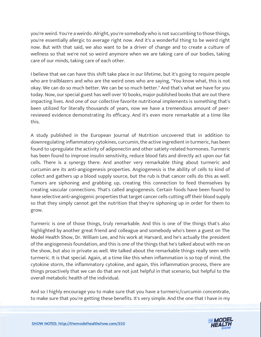you're weird. You're a weirdo. Alright, you're somebody who is not succumbing to those things, you're essentially allergic to average right now. And it's a wonderful thing to be weird right now. But with that said, we also want to be a driver of change and to create a culture of wellness so that we're not so weird anymore when we are taking care of our bodies, taking care of our minds, taking care of each other.

I believe that we can have this shift take place in our lifetime, but it's going to require people who are trailblazers and who are the weird ones who are saying, "You know what, this is not okay. We can do so much better. We can be so much better." And that's what we have for you today. Now, our special guest has well over 10 books, major published books that are out there impacting lives. And one of our collective favorite nutritional implements is something that's been utilized for literally thousands of years, now we have a tremendous amount of peerreviewed evidence demonstrating its efficacy. And it's even more remarkable at a time like this.

A study published in the European Journal of Nutrition uncovered that in addition to downregulating inflammatory cytokines, curcumin, the active ingredient in turmeric, has been found to upregulate the activity of adiponectin and other satiety-related hormones. Turmeric has been found to improve insulin sensitivity, reduce blood fats and directly act upon our fat cells. There is a synergy there. And another very remarkable thing about turmeric and curcumin are its anti-angiogenesis properties. Angiogenesis is the ability of cells to kind of collect and gathers up a blood supply source, but the rub is that cancer cells do this as well. Tumors are siphoning and grabbing up, creating this connection to feed themselves by creating vascular connections. That's called angiogenesis. Certain foods have been found to have selective anti-angiogenic properties that target cancer cells cutting off their blood supply so that they simply cannot get the nutrition that they're siphoning up in order for them to grow.

Turmeric is one of those things, truly remarkable. And this is one of the things that's also highlighted by another great friend and colleague and somebody who's been a guest on The Model Health Show, Dr. William Lee, and his work at Harvard, and he's actually the president of the angiogenesis foundation, and this is one of the things that he's talked about with me on the show, but also in private as well. We talked about the remarkable things really seen with turmeric. It is that special. Again, at a time like this when inflammation is so top of mind, the cytokine storm, the inflammatory cytokine, and again, this inflammation process, there are things proactively that we can do that are not just helpful in that scenario, but helpful to the overall metabolic health of the individual.

And so I highly encourage you to make sure that you have a turmeric/curcumin concentrate, to make sure that you're getting these benefits. It's very simple. And the one that I have in my

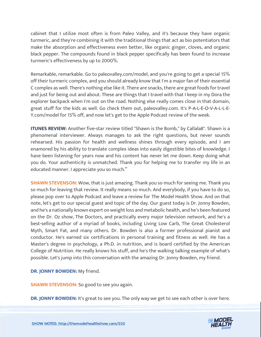cabinet that I utilize most often is from Paleo Valley, and it's because they have organic turmeric, and they're combining it with the traditional things that act as bio potentiators that make the absorption and effectiveness even better, like organic ginger, cloves, and organic black pepper. The compounds found in black pepper specifically has been found to increase turmeric's effectiveness by up to 2000%.

Remarkable, remarkable. Go to paleovalley.com/model, and you're going to get a special 15% off their turmeric complex, and you should already know that I'm a major fan of their essential C complex as well. There's nothing else like it. There are snacks, there are great foods for travel and just for being out and about. These are things that I travel with that I keep in my Dora the explorer backpack when I'm out on the road. Nothing else really comes close in that domain, great stuff for the kids as well. Go check them out, paleovalley.com. It's P-A-L-E-O-V-A-L-L-E-Y.com/model for 15% off, and now let's get to the Apple Podcast review of the week.

**ITUNES REVIEW:** Another five-star review titled "Shawn is the Bomb," by Callala8". Shawn is a phenomenal interviewer. Always manages to ask the right questions, but never sounds rehearsed. His passion for health and wellness shines through every episode, and I am enamored by his ability to translate complex ideas into easily digestible bites of knowledge. I have been listening for years now and his content has never let me down. Keep doing what you do. Your authenticity is unmatched. Thank you for helping me to transfer my life in an educated manner. I appreciate you so much."

**SHAWN STEVENSON:** Wow, that is just amazing. Thank you so much for seeing me. Thank you so much for leaving that review. It really means so much. And everybody, if you have to do so, please pop over to Apple Podcast and leave a review for The Model Health Show. And on that note, let's get to our special guest and topic of the day. Our guest today is Dr. Jonny Bowden, and he's a nationally known expert on weight loss and metabolic health, and he's been featured on the Dr. Oz show, The Doctors, and practically every major television network, and he's a best-selling author of a myriad of books, including Living Low Carb, The Great Cholesterol Myth, Smart Fat, and many others. Dr. Bowden is also a former professional pianist and conductor. He's earned six certifications in personal training and fitness as well. He has a Master's degree in psychology, a Ph.D. in nutrition, and is board certified by the American College of Nutrition. He really knows his stuff, and he's the walking talking example of what's possible. Let's jump into this conversation with the amazing Dr. Jonny Bowden, my friend.

**DR. JONNY BOWDEN:** My friend.

**SHAWN STEVENSON:** So good to see you again.

**DR. JONNY BOWDEN:** It's great to see you. The only way we get to see each other is over here.

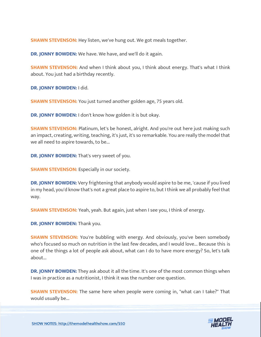**SHAWN STEVENSON:** Hey listen, we've hung out. We got meals together.

**DR. JONNY BOWDEN:** We have. We have, and we'll do it again.

**SHAWN STEVENSON:** And when I think about you, I think about energy. That's what I think about. You just had a birthday recently.

**DR. JONNY BOWDEN:** I did.

**SHAWN STEVENSON:** You just turned another golden age, 75 years old.

**DR. JONNY BOWDEN:** I don't know how golden it is but okay.

**SHAWN STEVENSON:** Platinum, let's be honest, alright. And you're out here just making such an impact, creating, writing, teaching, it's just, it's so remarkable. You are really the model that we all need to aspire towards, to be...

**DR. JONNY BOWDEN:** That's very sweet of you.

**SHAWN STEVENSON:** Especially in our society.

**DR. JONNY BOWDEN:** Very frightening that anybody would aspire to be me, 'cause if you lived in my head, you'd know that's not a great place to aspire to, but I think we all probably feel that way.

**SHAWN STEVENSON:** Yeah, yeah. But again, just when I see you, I think of energy.

**DR. JONNY BOWDEN:** Thank you.

**SHAWN STEVENSON:** You're bubbling with energy. And obviously, you've been somebody who's focused so much on nutrition in the last few decades, and I would love... Because this is one of the things a lot of people ask about, what can I do to have more energy? So, let's talk about...

**DR. JONNY BOWDEN:** They ask about it all the time. It's one of the most common things when I was in practice as a nutritionist, I think it was the number one question.

**SHAWN STEVENSON:** The same here when people were coming in, "what can I take?" That would usually be...

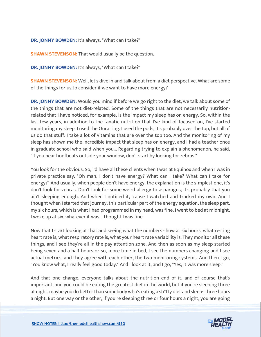**DR. JONNY BOWDEN:** It's always, "What can I take?"

**SHAWN STEVENSON:** That would usually be the question.

**DR. JONNY BOWDEN:** It's always, "What can I take?"

**SHAWN STEVENSON:** Well, let's dive in and talk about from a diet perspective. What are some of the things for us to consider if we want to have more energy?

**DR. JONNY BOWDEN:** Would you mind if before we go right to the diet, we talk about some of the things that are not diet-related. Some of the things that are not necessarily nutritionrelated that I have noticed, for example, is the impact my sleep has on energy. So, within the last few years, in addition to the fanatic nutrition that I've kind of focused on, I've started monitoring my sleep. I used the Oura ring. I used the pods, it's probably over the top, but all of us do that stuff. I take a lot of vitamins that are over the top too. And the monitoring of my sleep has shown me the incredible impact that sleep has on energy, and I had a teacher once in graduate school who said when you... Regarding trying to explain a phenomenon, he said, "If you hear hoofbeats outside your window, don't start by looking for zebras."

You look for the obvious. So, I'd have all these clients when I was at Equinox and when I was in private practice say, "Oh man, I don't have energy? What can I take? What can I take for energy?" And usually, when people don't have energy, the explanation is the simplest one, it's don't look for zebras. Don't look for some weird allergy to asparagus, it's probably that you ain't sleeping enough. And when I noticed it, 'cause I watched and tracked my own. And I thought when I started that journey, this particular part of the energy equation, the sleep part, my six hours, which is what I had programmed in my head, was fine. I went to bed at midnight, I woke up at six, whatever it was, I thought I was fine.

Now that I start looking at that and seeing what the numbers show at six hours, what resting heart rate is, what respiratory rate is, what your heart rate variability is. They monitor all these things, and I see they're all in the pay attention zone. And then as soon as my sleep started being seven and a half hours or so, more time in bed, I see the numbers changing and I see actual metrics, and they agree with each other, the two monitoring systems. And then I go, "You know what, I really feel good today." And I look at it, and I go, "Yes, it was more sleep."

And that one change, everyone talks about the nutrition end of it, and of course that's important, and you could be eating the greatest diet in the world, but if you're sleeping three at night, maybe you do better than somebody who's eating a sh\*tty diet and sleeps three hours a night. But one way or the other, if you're sleeping three or four hours a night, you are going

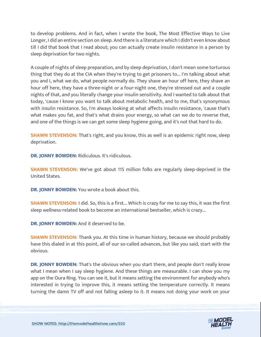to develop problems. And in fact, when I wrote the book, The Most Effective Ways to Live Longer, I did an entire section on sleep. And there is a literature which I didn't even know about till I did that book that I read about; you can actually create insulin resistance in a person by sleep deprivation for two nights.

A couple of nights of sleep preparation, and by sleep deprivation, I don't mean some torturous thing that they do at the CIA when they're trying to get prisoners to... I'm talking about what you and I, what we do, what people normally do. They shave an hour off here, they shave an hour off here, they have a three-night or a four-night one, they're stressed out and a couple nights of that, and you literally change your insulin sensitivity. And I wanted to talk about that today, 'cause I know you want to talk about metabolic health, and to me, that's synonymous with insulin resistance. So, I'm always looking at what affects insulin resistance, 'cause that's what makes you fat, and that's what drains your energy, so what can we do to reverse that, and one of the things is we can get some sleep hygiene going, and it's not that hard to do.

**SHAWN STEVENSON:** That's right, and you know, this as well is an epidemic right now, sleep deprivation.

**DR. JONNY BOWDEN:** Ridiculous. It's ridiculous.

**SHAWN STEVENSON:** We've got about 115 million folks are regularly sleep-deprived in the United States.

**DR. JONNY BOWDEN:** You wrote a book about this.

**SHAWN STEVENSON:** I did. So, this is a first... Which is crazy for me to say this, it was the first sleep wellness-related book to become an international bestseller, which is crazy...

**DR. JONNY BOWDEN:** And it deserved to be.

**SHAWN STEVENSON:** Thank you. At this time in human history, because we should probably have this dialed in at this point, all of our so-called advances, but like you said, start with the obvious.

**DR. JONNY BOWDEN:** That's the obvious when you start there, and people don't really know what I mean when I say sleep hygiene. And these things are measurable. I can show you my app on the Oura Ring. You can see it, but it means setting the environment for anybody who's interested in trying to improve this, it means setting the temperature correctly. It means turning the damn TV off and not falling asleep to it. It means not doing your work on your

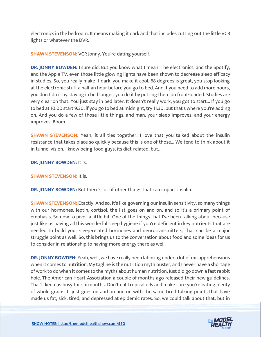electronics in the bedroom. It means making it dark and that includes cutting out the little VCR lights or whatever the DVR.

**SHAWN STEVENSON:** VCR Jonny. You're dating yourself.

**DR. JONNY BOWDEN:** I sure did. But you know what I mean. The electronics, and the Spotify, and the Apple TV, even those little glowing lights have been shown to decrease sleep efficacy in studies. So, you really make it dark, you make it cool, 68 degrees is great, you stop looking at the electronic stuff a half an hour before you go to bed. And if you need to add more hours, you don't do it by staying in bed longer, you do it by putting them on front-loaded. Studies are very clear on that. You just stay in bed later. It doesn't really work, you got to start... If you go to bed at 10:00 start 9:30, if you go to bed at midnight, try 11:30, but that's where you're adding on. And you do a few of those little things, and man, your sleep improves, and your energy improves. Boom.

**SHAWN STEVENSON:** Yeah, it all ties together. I love that you talked about the insulin resistance that takes place so quickly because this is one of those... We tend to think about it in tunnel vision. I know being food guys, its diet-related, but...

**DR. JONNY BOWDEN:** It is.

**SHAWN STEVENSON: It is.** 

**DR. JONNY BOWDEN:** But there's lot of other things that can impact insulin.

**SHAWN STEVENSON:** Exactly. And so, it's like governing our insulin sensitivity, so many things with our hormones, leptin, cortisol, the list goes on and on, and so it's a primary point of emphasis. So now to pivot a little bit. One of the things that I've been talking about because just like us having all this wonderful sleep hygiene if you're deficient in key nutrients that are needed to build your sleep-related hormones and neurotransmitters, that can be a major struggle point as well. So, this brings us to the conversation about food and some ideas for us to consider in relationship to having more energy there as well.

**DR. JONNY BOWDEN:** Yeah, well, we have really been laboring under a lot of misapprehensions when it comes to nutrition. My tagline is the nutrition myth buster, and I never have a shortage of work to do when it comes to the myths about human nutrition. Just did go down a fast rabbit hole. The American Heart Association a couple of months ago released their new guidelines. That'll keep us busy for six months. Don't eat tropical oils and make sure you're eating plenty of whole grains. It just goes on and on and on with the same tired talking points that have made us fat, sick, tired, and depressed at epidemic rates. So, we could talk about that, but in

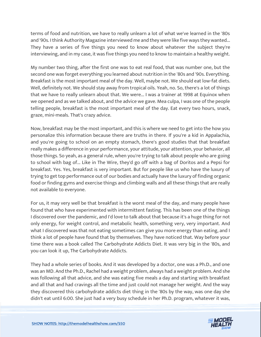terms of food and nutrition, we have to really unlearn a lot of what we've learned in the '80s and '90s. I think Authority Magazine interviewed me and they were like five ways they wanted... They have a series of five things you need to know about whatever the subject they're interviewing, and in my case, it was five things you need to know to maintain a healthy weight.

My number two thing, after the first one was to eat real food, that was number one, but the second one was forget everything you learned about nutrition in the '80s and '90s. Everything. Breakfast is the most important meal of the day. Well, maybe not. We should eat low-fat diets. Well, definitely not. We should stay away from tropical oils. Yeah, no. So, there's a lot of things that we have to really unlearn about that. We were... I was a trainer at 1998 at Equinox when we opened and as we talked about, and the advice we gave. Mea culpa, I was one of the people telling people, breakfast is the most important meal of the day. Eat every two hours, snack, graze, mini-meals. That's crazy advice.

Now, breakfast may be the most important, and this is where we need to get into the how you personalize this information because there are truths in there. If you're a kid in Appalachia, and you're going to school on an empty stomach, there's good studies that that breakfast really makes a difference in your performance, your attitude, your attention, your behavior, all those things. So yeah, as a general rule, when you're trying to talk about people who are going to school with bag of... Like in The Wire, they'd go off with a bag of Doritos and a Pepsi for breakfast. Yes. Yes, breakfast is very important. But for people like us who have the luxury of trying to get top performance out of our bodies and actually have the luxury of finding organic food or finding gyms and exercise things and climbing walls and all these things that are really not available to everyone.

For us, it may very well be that breakfast is the worst meal of the day, and many people have found that who have experimented with intermittent fasting. This has been one of the things I discovered over the pandemic, and I'd love to talk about that because it's a huge thing for not only energy, for weight control, and metabolic health, something very, very important. And what I discovered was that not eating sometimes can give you more energy than eating, and I think a lot of people have found that by themselves. They have noticed that. Way before your time there was a book called The Carbohydrate Addicts Diet. It was very big in the '80s, and you can look it up, The Carbohydrate Addicts.

They had a whole series of books. And it was developed by a doctor, one was a Ph.D., and one was an MD. And the Ph.D., Rachel had a weight problem, always had a weight problem. And she was following all that advice, and she was eating five meals a day and starting with breakfast and all that and had cravings all the time and just could not manage her weight. And the way they discovered this carbohydrate addicts diet thing in the '80s by the way, was one day she didn't eat until 6:00. She just had a very busy schedule in her Ph.D. program, whatever it was,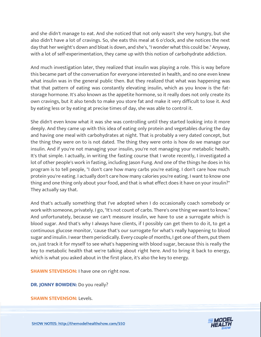and she didn't manage to eat. And she noticed that not only wasn't she very hungry, but she also didn't have a lot of cravings. So, she eats this meal at 6 o'clock, and she notices the next day that her weight's down and bloat is down, and she's, "I wonder what this could be." Anyway, with a lot of self-experimentation, they came up with this notion of carbohydrate addiction.

And much investigation later, they realized that insulin was playing a role. This is way before this became part of the conversation for everyone interested in health, and no one even knew what insulin was in the general public then. But they realized that what was happening was that that pattern of eating was constantly elevating insulin, which as you know is the fatstorage hormone. It's also known as the appetite hormone, so it really does not only create its own cravings, but it also tends to make you store fat and make it very difficult to lose it. And by eating less or by eating at precise times of day, she was able to control it.

She didn't even know what it was she was controlling until they started looking into it more deeply. And they came up with this idea of eating only protein and vegetables during the day and having one meal with carbohydrates at night. That is probably a very dated concept, but the thing they were on to is not dated. The thing they were onto is how do we manage our insulin. And if you're not managing your insulin, you're not managing your metabolic health. It's that simple. I actually, in writing the fasting course that I wrote recently, I investigated a lot of other people's work in fasting, including Jason Fung. And one of the things he does in his program is to tell people, "I don't care how many carbs you're eating. I don't care how much protein you're eating. I actually don't care how many calories you're eating. I want to know one thing and one thing only about your food, and that is what effect does it have on your insulin?" They actually say that.

And that's actually something that I've adopted when I do occasionally coach somebody or work with someone, privately. I go, "It's not count of carbs. There's one thing we want to know." And unfortunately, because we can't measure insulin, we have to use a surrogate which is blood sugar. And that's why I always have clients, if I possibly can get them to do it, to get a continuous glucose monitor, 'cause that's our surrogate for what's really happening to blood sugar and insulin. I wear them periodically. Every couple of months, I get one of them, put them on, just track it for myself to see what's happening with blood sugar, because this is really the key to metabolic health that we're talking about right here. And to bring it back to energy, which is what you asked about in the first place, it's also the key to energy.

**SHAWN STEVENSON: I have one on right now.** 

**DR. JONNY BOWDEN:** Do you really?

**SHAWN STEVENSON: Levels.** 

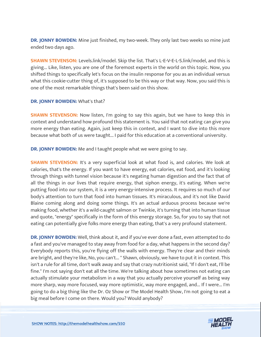**DR. JONNY BOWDEN:** Mine just finished, my two-week. They only last two weeks so mine just ended two days ago.

**SHAWN STEVENSON:** Levels.link/model. Skip the list. That's L-E-V-E-L-S.link/model, and this is giving... Like, listen, you are one of the foremost experts in the world on this topic. Now, you shifted things to specifically let's focus on the insulin response for you as an individual versus what this cookie-cutter thing of, it's supposed to be this way or that way. Now, you said this is one of the most remarkable things that's been said on this show.

#### **DR. JONNY BOWDEN:** What's that?

**SHAWN STEVENSON:** Now listen, I'm going to say this again, but we have to keep this in context and understand how profound this statement is. You said that not eating can give you more energy than eating. Again, just keep this in context, and I want to dive into this more because what both of us were taught... I paid for this education at a conventional university.

**DR. JONNY BOWDEN:** Me and I taught people what we were going to say.

**SHAWN STEVENSON:** It's a very superficial look at what food is, and calories. We look at calories, that's the energy. If you want to have energy, eat calories, eat food, and it's looking through things with tunnel vision because it's negating human digestion and the fact that of all the things in our lives that require energy, that siphon energy, it's eating. When we're putting food into our system, it is a very energy-intensive process. It requires so much of our body's attention to turn that food into human tissues. It's miraculous, and it's not like David Blaine coming along and doing some things. It's an actual arduous process because we're making food, whether it's a wild-caught salmon or Twinkie, it's turning that into human tissue and quote, "energy" specifically in the form of this energy storage. So, for you to say that not eating can potentially give folks more energy than eating, that's a very profound statement.

**DR. JONNY BOWDEN:** Well, think about it, and if you've ever done a fast, even attempted to do a fast and you've managed to stay away from food for a day, what happens in the second day? Everybody reports this, you're flying off the walls with energy. They're clear and their minds are bright, and they're like, No, you can't... " Shawn, obviously, we have to put it in context. This isn't a rule for all time, don't walk away and say that crazy nutritionist said, "If I don't eat, I'll be fine." I'm not saying don't eat all the time. We're talking about how sometimes not eating can actually stimulate your metabolism in a way that you actually perceive yourself as being way more sharp, way more focused, way more optimistic, way more engaged, and... If I were... I'm going to do a big thing like the Dr. Oz Show or The Model Health Show, I'm not going to eat a big meal before I come on there. Would you? Would anybody?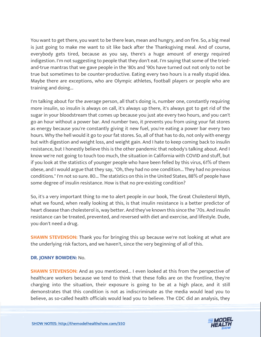You want to get there, you want to be there lean, mean and hungry, and on fire. So, a big meal is just going to make me want to sit like back after the Thanksgiving meal. And of course, everybody gets tired, because as you say, there's a huge amount of energy required indigestion. I'm not suggesting to people that they don't eat. I'm saying that some of the triedand-true mantras that we gave people in the '80s and '90s have turned out not only to not be true but sometimes to be counter-productive. Eating every two hours is a really stupid idea. Maybe there are exceptions, who are Olympic athletes, football players or people who are training and doing...

I'm talking about for the average person, all that's doing is, number one, constantly requiring more insulin, so insulin is always on call, it's always up there, it's always got to get rid of the sugar in your bloodstream that comes up because you just ate every two hours, and you can't go an hour without a power bar. And number two, it prevents you from using your fat stores as energy because you're constantly giving it new fuel, you're eating a power bar every two hours. Why the hell would it go to your fat stores. So, all of that has to do, not only with energy but with digestion and weight loss, and weight gain. And I hate to keep coming back to insulin resistance, but I honestly believe this is the other pandemic that nobody's talking about. And I know we're not going to touch too much, the situation in California with COVID and stuff, but if you look at the statistics of younger people who have been felled by this virus, 61% of them obese, and I would argue that they say, "Oh, they had no one condition... They had no previous conditions." I'm not so sure. 80... The statistics on this in the United States, 88% of people have some degree of insulin resistance. How is that no pre-existing condition?

So, it's a very important thing to me to alert people in our book, The Great Cholesterol Myth, what we found, when really looking at this, is that insulin resistance is a better predictor of heart disease than cholesterol is, way better. And they've known this since the '70s. And insulin resistance can be treated, prevented, and reversed with diet and exercise, and lifestyle. Dude, you don't need a drug.

**SHAWN STEVENSON:** Thank you for bringing this up because we're not looking at what are the underlying risk factors, and we haven't, since the very beginning of all of this.

#### **DR. JONNY BOWDEN:** No.

**SHAWN STEVENSON:** And as you mentioned... I even looked at this from the perspective of healthcare workers because we tend to think that these folks are on the frontline, they're charging into the situation, their exposure is going to be at a high place, and it still demonstrates that this condition is not as indiscriminate as the media would lead you to believe, as so-called health officials would lead you to believe. The CDC did an analysis, they

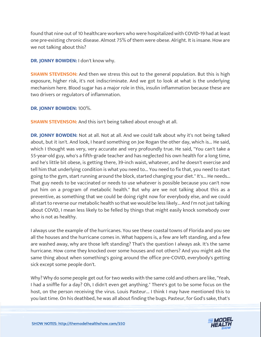found that nine out of 10 healthcare workers who were hospitalized with COVID-19 had at least one pre-existing chronic disease. Almost 75% of them were obese. Alright. It is insane. How are we not talking about this?

**DR. JONNY BOWDEN:** I don't know why.

**SHAWN STEVENSON:** And then we stress this out to the general population. But this is high exposure, higher risk, it's not indiscriminate. And we got to look at what is the underlying mechanism here. Blood sugar has a major role in this, insulin inflammation because these are two drivers or regulators of inflammation.

**DR. JONNY BOWDEN:** 100%.

**SHAWN STEVENSON:** And this isn't being talked about enough at all.

**DR. JONNY BOWDEN:** Not at all. Not at all. And we could talk about why it's not being talked about, but it isn't. And look, I heard something on Joe Rogan the other day, which is... He said, which I thought was very, very accurate and very profoundly true. He said, "You can't take a 55-year-old guy, who's a fifth-grade teacher and has neglected his own health for a long time, and he's little bit obese, is getting there, 39-inch waist, whatever, and he doesn't exercise and tell him that underlying condition is what you need to... You need to fix that, you need to start going to the gym, start running around the block, started changing your diet." It's... He needs... That guy needs to be vaccinated or needs to use whatever is possible because you can't now put him on a program of metabolic health." But why are we not talking about this as a preventive, as something that we could be doing right now for everybody else, and we could all start to reverse our metabolic health so that we would be less likely... And I'm not just talking about COVID, I mean less likely to be felled by things that might easily knock somebody over who is not as healthy.

I always use the example of the hurricanes. You see these coastal towns of Florida and you see all the houses and the hurricane comes in. What happens is, a few are left standing, and a few are washed away, why are those left standing? That's the question I always ask. It's the same hurricane. How come they knocked over some houses and not others? And you might ask the same thing about when something's going around the office pre-COVID, everybody's getting sick except some people don't.

Why? Why do some people get out for two weeks with the same cold and others are like, "Yeah, I had a sniffle for a day? Oh, I didn't even get anything." There's got to be some focus on the host, on the person receiving the virus. Louis Pasteur... I think I may have mentioned this to you last time. On his deathbed, he was all about finding the bugs. Pasteur, for God's sake, that's

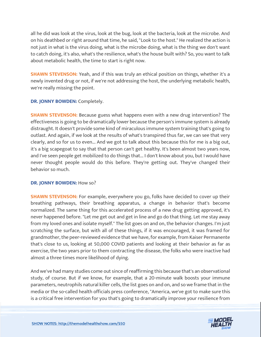all he did was look at the virus, look at the bug, look at the bacteria, look at the microbe. And on his deathbed or right around that time, he said, "Look to the host." He realized the action is not just in what is the virus doing, what is the microbe doing, what is the thing we don't want to catch doing, it's also, what's the resilience, what's the house built with? So, you want to talk about metabolic health, the time to start is right now.

**SHAWN STEVENSON:** Yeah, and if this was truly an ethical position on things, whether it's a newly invented drug or not, if we're not addressing the host, the underlying metabolic health, we're really missing the point.

#### **DR. JONNY BOWDEN:** Completely.

**SHAWN STEVENSON:** Because guess what happens even with a new drug intervention? The effectiveness is going to be dramatically lower because the person's immune system is already distraught. It doesn't provide some kind of miraculous immune system training that's going to outlast. And again, if we look at the results of what's transpired thus far, we can see that very clearly, and so for us to even... And we got to talk about this because this for me is a big out, it's a big scapegoat to say that that person can't get healthy. It's been almost two years now, and I've seen people get mobilized to do things that... I don't know about you, but I would have never thought people would do this before. They're getting out. They've changed their behavior so much.

#### **DR. JONNY BOWDEN: How so?**

**SHAWN STEVENSON:** For example, everywhere you go, folks have decided to cover up their breathing pathways, their breathing apparatus, a change in behavior that's become normalized. The same thing for this accelerated process of a new drug getting approved, it's never happened before. "Let me get out and get in line and go do that thing. Let me stay away from my loved ones and isolate myself." The list goes on and on, the behavior changes. I'm just scratching the surface, but with all of these things, if it was encouraged, it was framed for grandmother, the peer-reviewed evidence that we have, for example, from Kaiser Permanente that's close to us, looking at 50,000 COVID patients and looking at their behavior as far as exercise, the two years prior to them contracting the disease, the folks who were inactive had almost a three times more likelihood of dying.

And we've had many studies come out since of reaffirming this because that's an observational study, of course. But if we know, for example, that a 20-minute walk boosts your immune parameters, neutrophils natural killer cells, the list goes on and on, and so we frame that in the media or the so-called health officials press conference, "America, we've got to make sure this is a critical free intervention for you that's going to dramatically improve your resilience from

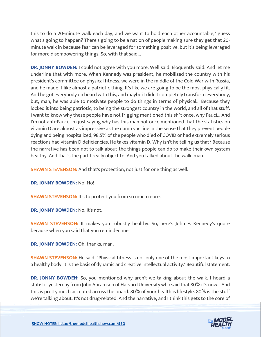this to do a 20-minute walk each day, and we want to hold each other accountable," guess what's going to happen? There's going to be a nation of people making sure they get that 20 minute walk in because fear can be leveraged for something positive, but it's being leveraged for more disempowering things. So, with that said...

**DR. JONNY BOWDEN:** I could not agree with you more. Well said. Eloquently said. And let me underline that with more. When Kennedy was president, he mobilized the country with his president's committee on physical fitness, we were in the middle of the Cold War with Russia, and he made it like almost a patriotic thing. It's like we are going to be the most physically fit. And he got everybody on board with this, and maybe it didn't completely transform everybody, but, man, he was able to motivate people to do things in terms of physical... Because they locked it into being patriotic, to being the strongest country in the world, and all of that stuff. I want to know why these people have not frigging mentioned this sh\*t once, why Fauci... And I'm not anti-Fauci. I'm just saying why has this man not once mentioned that the statistics on vitamin D are almost as impressive as the damn vaccine in the sense that they prevent people dying and being hospitalized; 98.5% of the people who died of COVID or had extremely serious reactions had vitamin D deficiencies. He takes vitamin D. Why isn't he telling us that? Because the narrative has been not to talk about the things people can do to make their own system healthy. And that's the part I really object to. And you talked about the walk, man.

**SHAWN STEVENSON:** And that's protection, not just for one thing as well.

**DR. JONNY BOWDEN:** No! No!

**SHAWN STEVENSON:** It's to protect you from so much more.

**DR. JONNY BOWDEN:** No, it's not.

**SHAWN STEVENSON:** It makes you robustly healthy. So, here's John F. Kennedy's quote because when you said that you reminded me.

**DR. JONNY BOWDEN:** Oh, thanks, man.

**SHAWN STEVENSON:** He said, "Physical fitness is not only one of the most important keys to a healthy body, it is the basis of dynamic and creative intellectual activity." Beautiful statement.

**DR. JONNY BOWDEN:** So, you mentioned why aren't we talking about the walk. I heard a statistic yesterday from John Abramson of Harvard University who said that 80% it's now... And this is pretty much accepted across the board. 80% of your health is lifestyle. 80% is the stuff we're talking about. It's not drug-related. And the narrative, and I think this gets to the core of

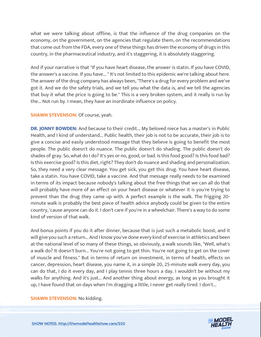what we were talking about offline, is that the influence of the drug companies on the economy, on the government, on the agencies that regulate them, on the recommendations that come out from the FDA, every one of these things has driven the economy of drugs in this country, in the pharmaceutical industry, and it's staggering, it is absolutely staggering.

And if your narrative is that "If you have heart disease, the answer is statin. If you have COVID, the answer's a vaccine. If you have... " It's not limited to this epidemic we're talking about here. The answer of the drug company has always been, "There's a drug for every problem and we've got it. And we do the safety trials, and we tell you what the data is, and we tell the agencies that buy it what the price is going to be." This is a very broken system, and it really is run by the... Not run by. I mean, they have an inordinate influence on policy.

#### **SHAWN STEVENSON: Of course, yeah.**

**DR. JONNY BOWDEN:** And because to their credit... My beloved niece has a master's in Public Health, and I kind of understand... Public health, their job is not to be accurate, their job is to give a concise and easily understood message that they believe is going to benefit the most people. The public doesn't do nuance. The public doesn't do shading. The public doesn't do shades of gray. So, what do I do? It's yes or no, good, or bad. Is this food good? Is this food bad? Is this exercise good? Is this diet, right? They don't do nuance and shading and personalization. So, they need a very clear message. You get sick, you get this drug. You have heart disease, take a statin. You have COVID, take a vaccine. And that message really needs to be examined in terms of its impact because nobody's talking about the free things that we can all do that will probably have more of an effect on your heart disease or whatever it is you're trying to prevent than the drug they came up with. A perfect example is the walk. The frigging 20 minute walk is probably the best piece of health advice anybody could be given to the entire country, 'cause anyone can do it. I don't care if you're in a wheelchair. There's a way to do some kind of version of that walk.

And bonus points if you do it after dinner, because that is just such a metabolic boost, and it will give you such a return... And I know you've done every kind of exercise in athletics and been at the national level of so many of these things, so obviously, a walk sounds like, "Well, what's a walk do? It doesn't burn... You're not going to get thin. You're not going to get on the cover of muscle and fitness." But in terms of return on investment, in terms of health, effects on cancer, depression, heart disease, you name it, in a simple 20, 25-minute walk every day, you can do that, I do it every day, and I play tennis three hours a day. I wouldn't be without my walks for anything. And it's just... And another thing about energy, as long as you brought it up, I have found that on days when I'm dragging a little, I never get really tired. I don't...

#### **SHAWN STEVENSON:** No kidding.

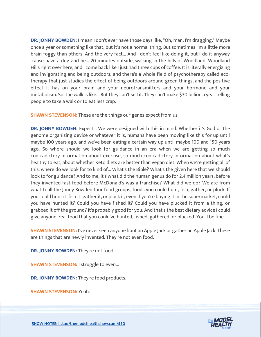**DR. JONNY BOWDEN:** I mean I don't ever have those days like, "Oh, man, I'm dragging." Maybe once a year or something like that, but it's not a normal thing. But sometimes I'm a little more brain foggy than others. And the very fact... And I don't feel like doing it, but I do it anyway 'cause have a dog and he... 20 minutes outside, walking in the hills of Woodland, Woodland Hills right over here, and I come back like I just had three cups of coffee. It is literally energizing and invigorating and being outdoors, and there's a whole field of psychotherapy called ecotherapy that just studies the effect of being outdoors around green things, and the positive effect it has on your brain and your neurotransmitters and your hormone and your metabolism. So, the walk is like... But they can't sell it. They can't make \$30 billion a year telling people to take a walk or to eat less crap.

**SHAWN STEVENSON:** These are the things our genes expect from us.

**DR. JONNY BOWDEN:** Expect... We were designed with this in mind. Whether it's God or the genome organizing device or whatever it is, humans have been moving like this for up until maybe 100 years ago, and we've been eating a certain way up until maybe 100 and 150 years ago. So where should we look for guidance in an era when we are getting so much contradictory information about exercise, so much contradictory information about what's healthy to eat, about whether Keto diets are better than vegan diet. When we're getting all of this, where do we look for to kind of... What's the Bible? What's the given here that we should look to for guidance? And to me, it's what did the human genus do for 2.4 million years, before they invented fast food before McDonald's was a franchise? What did we do? We ate from what I call the Jonny Bowden four food groups, foods you could hunt, fish, gather, or pluck. If you could hunt it, fish it, gather it, or pluck it, even if you're buying it in the supermarket, could you have hunted it? Could you have fished it? Could you have plucked it from a thing, or grabbed it off the ground? It's probably good for you. And that's the best dietary advice I could give anyone, real food that you could've hunted, fished, gathered, or plucked. You'll be fine.

**SHAWN STEVENSON:** I've never seen anyone hunt an Apple Jack or gather an Apple Jack. These are things that are newly invented. They're not even food.

**DR. JONNY BOWDEN:** They're not food.

**SHAWN STEVENSON: I struggle to even...** 

**DR. JONNY BOWDEN:** They're food products.

**SHAWN STEVENSON:** Yeah.

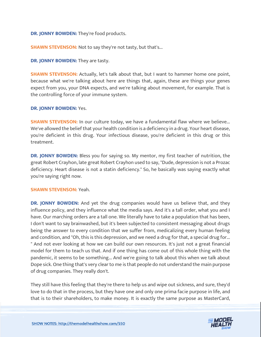**DR. JONNY BOWDEN:** They're food products.

**SHAWN STEVENSON:** Not to say they're not tasty, but that's...

#### **DR. JONNY BOWDEN:** They are tasty.

**SHAWN STEVENSON:** Actually, let's talk about that, but I want to hammer home one point, because what we're talking about here are things that, again, these are things your genes expect from you, your DNA expects, and we're talking about movement, for example. That is the controlling force of your immune system.

#### **DR. JONNY BOWDEN:** Yes.

**SHAWN STEVENSON:** In our culture today, we have a fundamental flaw where we believe... We've allowed the belief that your health condition is a deficiency in a drug. Your heart disease, you're deficient in this drug. Your infectious disease, you're deficient in this drug or this treatment.

**DR. JONNY BOWDEN:** Bless you for saying so. My mentor, my first teacher of nutrition, the great Robert Crayhon, late great Robert Crayhon used to say, "Dude, depression is not a Prozac deficiency. Heart disease is not a statin deficiency." So, he basically was saying exactly what you're saying right now.

#### **SHAWN STEVENSON:** Yeah.

**DR. JONNY BOWDEN:** And yet the drug companies would have us believe that, and they influence policy, and they influence what the media says. And it's a tall order, what you and I have. Our marching orders are a tall one. We literally have to take a population that has been, I don't want to say brainwashed, but it's been subjected to consistent messaging about drugs being the answer to every condition that we suffer from, medicalizing every human feeling and condition, and "Oh, this is this depression, and we need a drug for that, a special drug for... " And not ever looking at how we can build our own resources. It's just not a great financial model for them to teach us that. And if one thing has come out of this whole thing with the pandemic, it seems to be something... And we're going to talk about this when we talk about Dope sick. One thing that's very clear to me is that people do not understand the main purpose of drug companies. They really don't.

They still have this feeling that they're there to help us and wipe out sickness, and sure, they'd love to do that in the process, but they have one and only one prima facie purpose in life, and that is to their shareholders, to make money. It is exactly the same purpose as MasterCard,

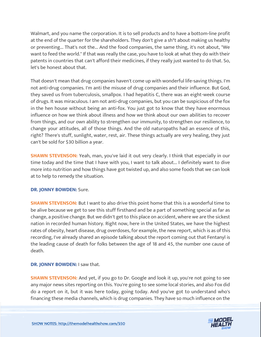Walmart, and you name the corporation. It is to sell products and to have a bottom-line profit at the end of the quarter for the shareholders. They don't give a sh\*t about making us healthy or preventing... That's not the... And the food companies, the same thing, it's not about, "We want to feed the world." If that was really the case, you have to look at what they do with their patents in countries that can't afford their medicines, if they really just wanted to do that. So, let's be honest about that.

That doesn't mean that drug companies haven't come up with wonderful life-saving things. I'm not anti-drug companies. I'm anti the misuse of drug companies and their influence. But God, they saved us from tuberculosis, smallpox. I had hepatitis C, there was an eight-week course of drugs. It was miraculous. I am not anti-drug companies, but you can be suspicious of the fox in the hen house without being an anti-fox. You just got to know that they have enormous influence on how we think about illness and how we think about our own abilities to recover from things, and our own ability to strengthen our immunity, to strengthen our resilience, to change your attitudes, all of those things. And the old naturopaths had an essence of this, right? There's stuff, sunlight, water, rest, air. These things actually are very healing, they just can't be sold for \$30 billion a year.

**SHAWN STEVENSON:** Yeah, man, you've laid it out very clearly. I think that especially in our time today and the time that I have with you, I want to talk about... I definitely want to dive more into nutrition and how things have got twisted up, and also some foods that we can look at to help to remedy the situation.

#### **DR. JONNY BOWDEN:** Sure.

**SHAWN STEVENSON:** But I want to also drive this point home that this is a wonderful time to be alive because we get to see this stuff firsthand and be a part of something special as far as change, a positive change. But we didn't get to this place on accident, where we are the sickest nation in recorded human history. Right now, here in the United States, we have the highest rates of obesity, heart disease, drug overdoses, for example, the new report, which is as of this recording, I've already shared an episode talking about the report coming out that Fentanyl is the leading cause of death for folks between the age of 18 and 45, the number one cause of death.

**DR. JONNY BOWDEN:** I saw that.

**SHAWN STEVENSON:** And yet, if you go to Dr. Google and look it up, you're not going to see any major news sites reporting on this. You're going to see some local stories, and also Fox did do a report on it, but it was here today, going today. And you've got to understand who's financing these media channels, which is drug companies. They have so much influence on the

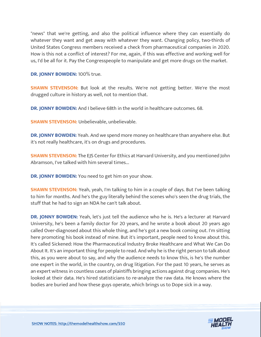"news" that we're getting, and also the political influence where they can essentially do whatever they want and get away with whatever they want. Changing policy, two-thirds of United States Congress members received a check from pharmaceutical companies in 2020. How is this not a conflict of interest? For me, again, if this was effective and working well for us, I'd be all for it. Pay the Congresspeople to manipulate and get more drugs on the market.

**DR. JONNY BOWDEN:** 100% true.

**SHAWN STEVENSON:** But look at the results. We're not getting better. We're the most drugged culture in history as well, not to mention that.

**DR. JONNY BOWDEN:** And I believe 68th in the world in healthcare outcomes. 68.

**SHAWN STEVENSON:** Unbelievable, unbelievable.

**DR. JONNY BOWDEN:** Yeah. And we spend more money on healthcare than anywhere else. But it's not really healthcare, it's on drugs and procedures.

**SHAWN STEVENSON:** The EJS Center for Ethics at Harvard University, and you mentioned John Abramson, I've talked with him several times...

**DR. JONNY BOWDEN:** You need to get him on your show.

**SHAWN STEVENSON:** Yeah, yeah, I'm talking to him in a couple of days. But I've been talking to him for months. And he's the guy literally behind the scenes who's seen the drug trials, the stuff that he had to sign an NDA he can't talk about.

**DR. JONNY BOWDEN:** Yeah, let's just tell the audience who he is. He's a lecturer at Harvard University, he's been a family doctor for 20 years, and he wrote a book about 20 years ago called Over-diagnosed about this whole thing, and he's got a new book coming out. I'm sitting here promoting his book instead of mine. But it's important, people need to know about this. It's called Sickened: How the Pharmaceutical Industry Broke Healthcare and What We Can Do About It. It's an important thing for people to read. And why he is the right person to talk about this, as you were about to say, and why the audience needs to know this, is he's the number one expert in the world, in the country, on drug litigation. For the past 10 years, he serves as an expert witness in countless cases of plaintiffs bringing actions against drug companies. He's looked at their data. He's hired statisticians to re-analyze the raw data. He knows where the bodies are buried and how these guys operate, which brings us to Dope sick in a way.

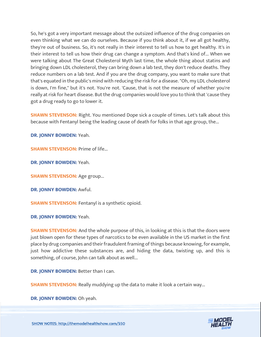So, he's got a very important message about the outsized influence of the drug companies on even thinking what we can do ourselves. Because if you think about it, if we all got healthy, they're out of business. So, it's not really in their interest to tell us how to get healthy. It's in their interest to tell us how their drug can change a symptom. And that's kind of... When we were talking about The Great Cholesterol Myth last time, the whole thing about statins and bringing down LDL cholesterol, they can bring down a lab test, they don't reduce deaths. They reduce numbers on a lab test. And if you are the drug company, you want to make sure that that's equated in the public's mind with reducing the risk for a disease. "Oh, my LDL cholesterol is down, I'm fine," but it's not. You're not. 'Cause, that is not the measure of whether you're really at risk for heart disease. But the drug companies would love you to think that 'cause they got a drug ready to go to lower it.

**SHAWN STEVENSON:** Right. You mentioned Dope sick a couple of times. Let's talk about this because with Fentanyl being the leading cause of death for folks in that age group, the...

**DR. JONNY BOWDEN:** Yeah.

**SHAWN STEVENSON: Prime of life...** 

**DR. JONNY BOWDEN:** Yeah.

**SHAWN STEVENSON: Age group...** 

**DR. JONNY BOWDEN:** Awful.

**SHAWN STEVENSON:** Fentanyl is a synthetic opioid.

**DR. JONNY BOWDEN:** Yeah.

**SHAWN STEVENSON:** And the whole purpose of this, in looking at this is that the doors were just blown open for these types of narcotics to be even available in the US market in the first place by drug companies and their fraudulent framing of things because knowing, for example, just how addictive these substances are, and hiding the data, twisting up, and this is something, of course, John can talk about as well...

**DR. JONNY BOWDEN:** Better than I can.

**SHAWN STEVENSON:** Really muddying up the data to make it look a certain way...

**DR. JONNY BOWDEN:** Oh yeah.

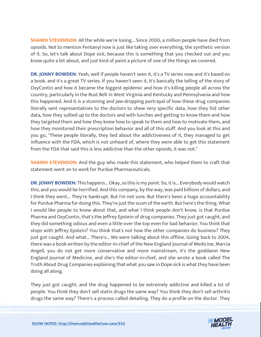**SHAWN STEVENSON:** All the while we're losing... Since 2000, a million people have died from opioids. Not to mention Fentanyl now is just like taking over everything, the synthetic version of it. So, let's talk about Dope sick, because this is something that you checked out and you know quite a bit about, and just kind of paint a picture of one of the things we covered.

**DR. JONNY BOWDEN:** Yeah, well if people haven't seen it, it's a TV series now and it's based on a book, and it's a great TV series. If you haven't seen it, it's basically the telling of the story of OxyContin and how it became the biggest epidemic and how it's killing people all across the country, particularly in the Rust Belt in West Virginia and Kentucky and Pennsylvania and how this happened. And it is a stunning and jaw-dropping portrayal of how these drug companies literally sent representatives to the doctors to show very specific data, how they hid other data, how they sullied up to the doctors and with lunches and getting to know them and how they targeted them and how they knew how to speak to them and how to motivate them, and how they monitored their prescription behavior and all of this stuff. And you look at this and you go, "These people literally, they lied about the addictiveness of it, they managed to get influence with the FDA, which is not unheard of, where they were able to get this statement from the FDA that said this is less addictive than the other opioids, it was not."

**SHAWN STEVENSON:** And the guy who made this statement, who helped them to craft that statement went on to work for Purdue Pharmaceuticals.

**DR. JONNY BOWDEN:** This happens... Okay, so this is my point. So, it is... Everybody would watch this, and you would be horrified. And this company, by the way, was paid billions of dollars, and I think they went... They're bankrupt. But I'm not sure. But there's been a huge accountability for Purdue Pharma for doing this. They're just the scum of the earth. But here's the thing. What I would like people to know about that, and what I think people don't know, is that Purdue Pharma and OxyContin, that's the Jeffrey Epstein of drug companies. They just got caught, and they did something odious and even a little over the top even for bad behavior. You think that stops with Jeffrey Epstein? You think that's not how the other companies do business? They just got caught. And what... There's... We were talking about this offline. Going back to 2004, there was a book written by the editor-in-chief of the New England Journal of Medicine, Marcia Angell, you do not get more conservative and more mainstream, it's the goddamn New England Journal of Medicine, and she's the editor-in-chief, and she wrote a book called The Truth About Drug Companies explaining that what you saw in Dope sick is what they have been doing all along.

They just got caught, and the drug happened to be extremely addictive and killed a lot of people. You think they don't sell statin drugs the same way? You think they don't sell arthritis drugs the same way? There's a process called detailing. They do a profile on the doctor. They

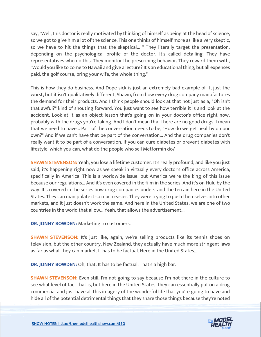say, "Well, this doctor is really motivated by thinking of himself as being at the head of science, so we got to give him a lot of the science. This one thinks of himself more as like a very skeptic, so we have to hit the things that the skeptical... " They literally target the presentation, depending on the psychological profile of the doctor. It's called detailing. They have representatives who do this. They monitor the prescribing behavior. They reward them with, "Would you like to come to Hawaii and give a lecture? It's an educational thing, but all expenses paid, the golf course, bring your wife, the whole thing."

This is how they do business. And Dope sick is just an extremely bad example of it, just the worst, but it isn't qualitatively different, Shawn, from how every drug company manufactures the demand for their products. And I think people should look at that not just as a, "Oh isn't that awful?" kind of shouting forward. You just want to see how terrible it is and look at the accident. Look at it as an object lesson that's going on in your doctor's office right now, probably with the drugs you're taking. And I don't mean that there are no good drugs. I mean that we need to have... Part of the conversation needs to be, "How do we get healthy on our own?" And if we can't have that be part of the conversation... And the drug companies don't really want it to be part of a conversation. If you can cure diabetes or prevent diabetes with lifestyle, which you can, what do the people who sell Metformin do?

**SHAWN STEVENSON:** Yeah, you lose a lifetime customer. It's really profound, and like you just said, it's happening right now as we speak in virtually every doctor's office across America, specifically in America. This is a worldwide issue, but America we're the king of this issue because our regulations... And it's even covered in the film in the series. And it's on Hulu by the way. It's covered in the series how drug companies understand the terrain here in the United States. They can manipulate it so much easier. They were trying to push themselves into other markets, and it just doesn't work the same. And here in the United States, we are one of two countries in the world that allow... Yeah, that allows the advertisement...

**DR. JONNY BOWDEN:** Marketing to customers.

**SHAWN STEVENSON:** It's just like, again, we're selling products like its tennis shoes on television, but the other country, New Zealand, they actually have much more stringent laws as far as what they can market. It has to be factual. Here in the United States...

**DR. JONNY BOWDEN:** Oh, that. It has to be factual. That's a high bar.

**SHAWN STEVENSON:** Even still, I'm not going to say because I'm not there in the culture to see what level of fact that is, but here in the United States, they can essentially put on a drug commercial and just have all this imagery of the wonderful life that you're going to have and hide all of the potential detrimental things that they share those things because they're noted

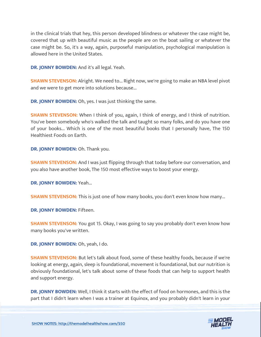in the clinical trials that hey, this person developed blindness or whatever the case might be, covered that up with beautiful music as the people are on the boat sailing or whatever the case might be. So, it's a way, again, purposeful manipulation, psychological manipulation is allowed here in the United States.

**DR. JONNY BOWDEN:** And it's all legal. Yeah.

**SHAWN STEVENSON:** Alright. We need to... Right now, we're going to make an NBA level pivot and we were to get more into solutions because...

**DR. JONNY BOWDEN:** Oh, yes. I was just thinking the same.

**SHAWN STEVENSON:** When I think of you, again, I think of energy, and I think of nutrition. You've been somebody who's walked the talk and taught so many folks, and do you have one of your books... Which is one of the most beautiful books that I personally have, The 150 Healthiest Foods on Earth.

**DR. JONNY BOWDEN:** Oh. Thank you.

**SHAWN STEVENSON:** And I was just flipping through that today before our conversation, and you also have another book, The 150 most effective ways to boost your energy.

**DR. JONNY BOWDEN:** Yeah...

**SHAWN STEVENSON:** This is just one of how many books, you don't even know how many...

**DR. JONNY BOWDEN:** Fifteen.

**SHAWN STEVENSON:** You got 15. Okay, I was going to say you probably don't even know how many books you've written.

**DR. JONNY BOWDEN:** Oh, yeah, I do.

**SHAWN STEVENSON:** But let's talk about food, some of these healthy foods, because if we're looking at energy, again, sleep is foundational, movement is foundational, but our nutrition is obviously foundational, let's talk about some of these foods that can help to support health and support energy.

**DR. JONNY BOWDEN:** Well, I think it starts with the effect of food on hormones, and this is the part that I didn't learn when I was a trainer at Equinox, and you probably didn't learn in your

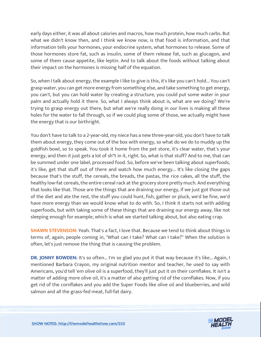early days either, it was all about calories and macros, how much protein, how much carbs. But what we didn't know then, and I think we know now, is that food is information, and that information tells your hormones, your endocrine system, what hormones to release. Some of those hormones store fat, such as insulin, some of them release fat, such as glucagon, and some of them cause appetite, like leptin. And to talk about the foods without talking about their impact on the hormones is missing half of the equation.

So, when I talk about energy, the example I like to give is this, it's like you can't hold... You can't grasp water, you can get more energy from something else, and take something to get energy, you can't, but you can hold water by creating a structure, you could put some water in your palm and actually hold it there. So, what I always think about is, what are we doing? We're trying to grasp energy out there, but what we're really doing in our lives is making all these holes for the water to fall through, so if we could plug some of those, we actually might have the energy that is our birthright.

You don't have to talk to a 2-year-old, my niece has a new three-year-old, you don't have to talk them about energy, they come out of the box with energy, so what do we do to muddy up the goldfish bowl, so to speak. You took it home from the pet store, it's clear water, that's your energy, and then it just gets a lot of sh\*t in it, right. So, what is that stuff? And to me, that can be summed under one label, processed food. So, before we've been talking about superfoods, it's like, get that stuff out of there and watch how much energy... It's like closing the gaps because that's the stuff, the cereals, the breads, the pastas, the rice cakes, all the stuff, the healthy low-fat cereals, the entire cereal rack at the grocery store pretty much. And everything that looks like that. Those are the things that are draining our energy, if we just got those out of the diet and ate the rest, the stuff you could hunt, fish, gather or pluck, we'd be fine, we'd have more energy than we would know what to do with. So, I think it starts not with adding superfoods, but with taking some of these things that are draining our energy away, like not sleeping enough for example, which is what we started talking about, but also eating crap.

**SHAWN STEVENSON:** Yeah. That's a fact, I love that. Because we tend to think about things in terms of, again, people coming in, "What can I take? What can I take?" When the solution is often, let's just remove the thing that is causing the problem.

**DR. JONNY BOWDEN:** It's so often... I'm so glad you put it that way because it's like... Again, I mentioned Barbara Crayon, my original nutrition mentor and teacher, he used to say with Americans, you'd tell 'em olive oil is a superfood, they'll just put it on their cornflakes. It isn't a matter of adding more olive oil, it's a matter of also getting rid of the cornflakes. Now, if you get rid of the cornflakes and you add the Super Foods like olive oil and blueberries, and wild salmon and all the grass-fed meat, full-fat dairy.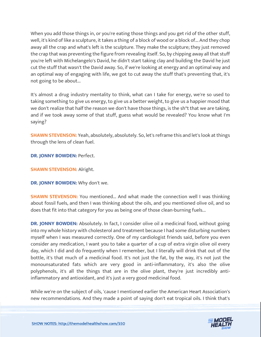When you add those things in, or you're eating those things and you get rid of the other stuff, well, it's kind of like a sculpture, it takes a thing of a block of wood or a block of... And they chop away all the crap and what's left is the sculpture. They make the sculpture; they just removed the crap that was preventing the figure from revealing itself. So, by chipping away all that stuff you're left with Michelangelo's David, he didn't start taking clay and building the David he just cut the stuff that wasn't the David away. So, if we're looking at energy and an optimal way and an optimal way of engaging with life, we got to cut away the stuff that's preventing that, it's not going to be about...

It's almost a drug industry mentality to think, what can I take for energy, we're so used to taking something to give us energy, to give us a better weight, to give us a happier mood that we don't realize that half the reason we don't have those things, is the sh\*t that we are taking, and if we took away some of that stuff, guess what would be revealed? You know what I'm saying?

**SHAWN STEVENSON:** Yeah, absolutely, absolutely. So, let's reframe this and let's look at things through the lens of clean fuel.

**DR. JONNY BOWDEN: Perfect.** 

**SHAWN STEVENSON:** Alright.

**DR. JONNY BOWDEN:** Why don't we.

**SHAWN STEVENSON:** You mentioned... And what made the connection well I was thinking about fossil fuels, and then I was thinking about the oils, and you mentioned olive oil, and so does that fit into that category for you as being one of those clean-burning fuels...

**DR. JONNY BOWDEN:** Absolutely. In fact, I consider olive oil a medicinal food, without going into my whole history with cholesterol and treatment because I had some disturbing numbers myself when I was measured correctly. One of my cardiologist friends said, before you even consider any medication, I want you to take a quarter of a cup of extra virgin olive oil every day, which I did and do frequently when I remember, but I literally will drink that out of the bottle, it's that much of a medicinal food. It's not just the fat, by the way, it's not just the monounsaturated fats which are very good in anti-inflammatory, it's also the olive polyphenols, it's all the things that are in the olive plant, they're just incredibly antiinflammatory and antioxidant, and it's just a very good medicinal food.

While we're on the subject of oils, 'cause I mentioned earlier the American Heart Association's new recommendations. And they made a point of saying don't eat tropical oils. I think that's

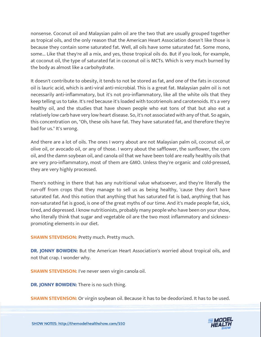nonsense. Coconut oil and Malaysian palm oil are the two that are usually grouped together as tropical oils, and the only reason that the American Heart Association doesn't like those is because they contain some saturated fat. Well, all oils have some saturated fat. Some mono, some... Like that they're all a mix, and yes, those tropical oils do. But if you look, for example, at coconut oil, the type of saturated fat in coconut oil is MCTs. Which is very much burned by the body as almost like a carbohydrate.

It doesn't contribute to obesity, it tends to not be stored as fat, and one of the fats in coconut oil is lauric acid, which is anti-viral anti-microbial. This is a great fat. Malaysian palm oil is not necessarily anti-inflammatory, but it's not pro-inflammatory, like all the white oils that they keep telling us to take. It's red because it's loaded with tocotrienols and carotenoids. It's a very healthy oil, and the studies that have shown people who eat tons of that but also eat a relatively low carb have very low heart disease. So, it's not associated with any of that. So again, this concentration on, "Oh, these oils have fat. They have saturated fat, and therefore they're bad for us." It's wrong.

And there are a lot of oils. The ones I worry about are not Malaysian palm oil, coconut oil, or olive oil, or avocado oil, or any of those. I worry about the safflower, the sunflower, the corn oil, and the damn soybean oil, and canola oil that we have been told are really healthy oils that are very pro-inflammatory, most of them are GMO. Unless they're organic and cold-pressed, they are very highly processed.

There's nothing in there that has any nutritional value whatsoever, and they're literally the run-off from crops that they manage to sell us as being healthy, 'cause they don't have saturated fat. And this notion that anything that has saturated fat is bad, anything that has non-saturated fat is good, is one of the great myths of our time. And it's made people fat, sick, tired, and depressed. I know nutritionists, probably many people who have been on your show, who literally think that sugar and vegetable oil are the two most inflammatory and sicknesspromoting elements in our diet.

**SHAWN STEVENSON: Pretty much. Pretty much.** 

**DR. JONNY BOWDEN:** But the American Heart Association's worried about tropical oils, and not that crap. I wonder why.

**SHAWN STEVENSON: I've never seen virgin canola oil.** 

**DR. JONNY BOWDEN:** There is no such thing.

**SHAWN STEVENSON:** Or virgin soybean oil. Because it has to be deodorized. It has to be used.



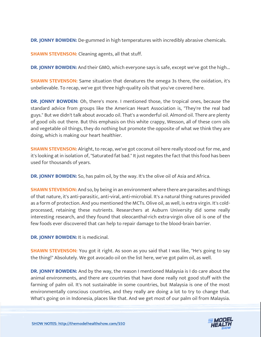**DR. JONNY BOWDEN:** De-gummed in high temperatures with incredibly abrasive chemicals.

**SHAWN STEVENSON:** Cleaning agents, all that stuff.

**DR. JONNY BOWDEN:** And their GMO, which everyone says is safe, except we've got the high...

**SHAWN STEVENSON:** Same situation that denatures the omega 3s there, the oxidation, it's unbelievable. To recap, we've got three high-quality oils that you've covered here.

**DR. JONNY BOWDEN:** Oh, there's more. I mentioned those, the tropical ones, because the standard advice from groups like the American Heart Association is, "They're the real bad guys." But we didn't talk about avocado oil. That's a wonderful oil. Almond oil. There are plenty of good oils out there. But this emphasis on this white crappy, Wesson, all of these corn oils and vegetable oil things, they do nothing but promote the opposite of what we think they are doing, which is making our heart healthier.

**SHAWN STEVENSON:** Alright, to recap, we've got coconut oil here really stood out for me, and it's looking at in isolation of, "Saturated fat bad." It just negates the fact that this food has been used for thousands of years.

**DR. JONNY BOWDEN:** So, has palm oil, by the way. It's the olive oil of Asia and Africa.

**SHAWN STEVENSON:** And so, by being in an environment where there are parasites and things of that nature, it's anti-parasitic, anti-viral, anti-microbial. It's a natural thing natures provided as a form of protection. And you mentioned the MCTs. Olive oil, as well, is extra virgin. It's coldprocessed, retaining these nutrients. Researchers at Auburn University did some really interesting research, and they found that oleocanthal-rich extra-virgin olive oil is one of the few foods ever discovered that can help to repair damage to the blood-brain barrier.

**DR. IONNY BOWDEN:** It is medicinal.

**SHAWN STEVENSON:** You got it right. As soon as you said that I was like, "He's going to say the thing!" Absolutely. We got avocado oil on the list here, we've got palm oil, as well.

**DR. JONNY BOWDEN:** And by the way, the reason I mentioned Malaysia is I do care about the animal environments, and there are countries that have done really not good stuff with the farming of palm oil. It's not sustainable in some countries, but Malaysia is one of the most environmentally conscious countries, and they really are doing a lot to try to change that. What's going on in Indonesia, places like that. And we get most of our palm oil from Malaysia.

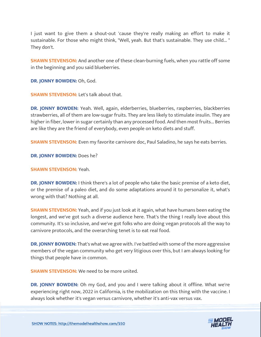I just want to give them a shout-out 'cause they're really making an effort to make it sustainable. For those who might think, "Well, yeah. But that's sustainable. They use child... " They don't.

**SHAWN STEVENSON:** And another one of these clean-burning fuels, when you rattle off some in the beginning and you said blueberries.

**DR. JONNY BOWDEN:** Oh, God.

**SHAWN STEVENSON: Let's talk about that.** 

**DR. JONNY BOWDEN:** Yeah. Well, again, elderberries, blueberries, raspberries, blackberries strawberries, all of them are low-sugar fruits. They are less likely to stimulate insulin. They are higher in fiber, lower in sugar certainly than any processed food. And then most fruits... Berries are like they are the friend of everybody, even people on keto diets and stuff.

**SHAWN STEVENSON:** Even my favorite carnivore doc, Paul Saladino, he says he eats berries.

**DR. JONNY BOWDEN:** Does he?

**SHAWN STEVENSON:** Yeah.

**DR. JONNY BOWDEN:** I think there's a lot of people who take the basic premise of a keto diet, or the premise of a paleo diet, and do some adaptations around it to personalize it, what's wrong with that? Nothing at all.

**SHAWN STEVENSON:** Yeah, and if you just look at it again, what have humans been eating the longest, and we've got such a diverse audience here. That's the thing I really love about this community. It's so inclusive, and we've got folks who are doing vegan protocols all the way to carnivore protocols, and the overarching tenet is to eat real food.

**DR. JONNY BOWDEN:** That's what we agree with. I've battled with some of the more aggressive members of the vegan community who get very litigious over this, but I am always looking for things that people have in common.

**SHAWN STEVENSON:** We need to be more united.

**DR. JONNY BOWDEN:** Oh my God, and you and I were talking about it offline. What we're experiencing right now, 2022 in California, is the mobilization on this thing with the vaccine. I always look whether it's vegan versus carnivore, whether it's anti-vax versus vax.

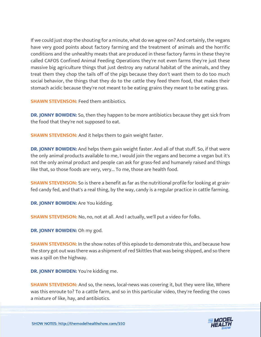If we could just stop the shouting for a minute, what do we agree on? And certainly, the vegans have very good points about factory farming and the treatment of animals and the horrific conditions and the unhealthy meats that are produced in these factory farms in these they're called CAFOS Confined Animal Feeding Operations they're not even farms they're just these massive big agriculture things that just destroy any natural habitat of the animals, and they treat them they chop the tails off of the pigs because they don't want them to do too much social behavior, the things that they do to the cattle they feed them food, that makes their stomach acidic because they're not meant to be eating grains they meant to be eating grass.

**SHAWN STEVENSON: Feed them antibiotics.** 

**DR. JONNY BOWDEN:** So, then they happen to be more antibiotics because they get sick from the food that they're not supposed to eat.

**SHAWN STEVENSON:** And it helps them to gain weight faster.

**DR. JONNY BOWDEN:** And helps them gain weight faster. And all of that stuff. So, if that were the only animal products available to me, I would join the vegans and become a vegan but it's not the only animal product and people can ask for grass-fed and humanely raised and things like that, so those foods are very, very... To me, those are health food.

**SHAWN STEVENSON:** So is there a benefit as far as the nutritional profile for looking at grainfed candy fed, and that's a real thing, by the way, candy is a regular practice in cattle farming.

**DR. JONNY BOWDEN:** Are You kidding.

**SHAWN STEVENSON:** No, no, not at all. And I actually, we'll put a video for folks.

**DR. JONNY BOWDEN:** Oh my god.

**SHAWN STEVENSON:** In the show notes of this episode to demonstrate this, and because how the story got out was there was a shipment of red Skittles that was being shipped, and so there was a spill on the highway.

**DR. JONNY BOWDEN:** You're kidding me.

**SHAWN STEVENSON:** And so, the news, local-news was covering it, but they were like, Where was this enroute to? To a cattle farm, and so in this particular video, they're feeding the cows a mixture of like, hay, and antibiotics.

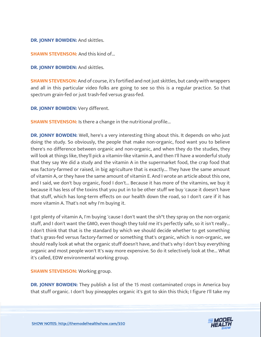#### **DR. JONNY BOWDEN:** And skittles.

**SHAWN STEVENSON: And this kind of...** 

**DR. JONNY BOWDEN:** And skittles.

**SHAWN STEVENSON:** And of course, it's fortified and not just skittles, but candy with wrappers and all in this particular video folks are going to see so this is a regular practice. So that spectrum grain-fed or just trash-fed versus grass-fed.

**DR. JONNY BOWDEN:** Very different.

**SHAWN STEVENSON:** Is there a change in the nutritional profile...

**DR. JONNY BOWDEN:** Well, here's a very interesting thing about this. It depends on who just doing the study. So obviously, the people that make non-organic, food want you to believe there's no difference between organic and non-organic, and when they do the studies, they will look at things like, they'll pick a vitamin-like vitamin A, and then I'll have a wonderful study that they say We did a study and the vitamin A in the supermarket food, the crap food that was factory-farmed or raised, in big agriculture that is exactly... They have the same amount of vitamin A, or they have the same amount of vitamin E. And I wrote an article about this one, and I said, we don't buy organic, food I don't... Because it has more of the vitamins, we buy it because it has less of the toxins that you put in to be other stuff we buy 'cause it doesn't have that stuff, which has long-term effects on our health down the road, so I don't care if it has more vitamin A. That's not why I'm buying it.

I got plenty of vitamin A, I'm buying 'cause I don't want the sh\*t they spray on the non-organic stuff, and I don't want the GMO, even though they told me it's perfectly safe, so it isn't really... I don't think that that is the standard by which we should decide whether to get something that's grass-fed versus factory-farmed or something that's organic, which is non-organic, we should really look at what the organic stuff doesn't have, and that's why I don't buy everything organic and most people won't It's way more expensive. So do it selectively look at the... What it's called, EDW environmental working group.

**SHAWN STEVENSON: Working group.** 

**DR. JONNY BOWDEN:** They publish a list of the 15 most contaminated crops in America buy that stuff organic. I don't buy pineapples organic it's got to skin this thick; I figure I'll take my

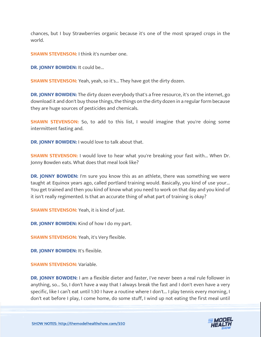chances, but I buy Strawberries organic because it's one of the most sprayed crops in the world.

**SHAWN STEVENSON:** I think it's number one.

**DR. JONNY BOWDEN:** It could be...

**SHAWN STEVENSON:** Yeah, yeah, so it's... They have got the dirty dozen.

**DR. JONNY BOWDEN:** The dirty dozen everybody that's a free resource, it's on the internet, go download it and don't buy those things, the things on the dirty dozen in a regular form because they are huge sources of pesticides and chemicals.

**SHAWN STEVENSON:** So, to add to this list, I would imagine that you're doing some intermittent fasting and.

**DR. JONNY BOWDEN:** I would love to talk about that.

**SHAWN STEVENSON:** I would love to hear what you're breaking your fast with... When Dr. Jonny Bowden eats. What does that meal look like?

**DR. JONNY BOWDEN:** I'm sure you know this as an athlete, there was something we were taught at Equinox years ago, called portland training would. Basically, you kind of use your... You get trained and then you kind of know what you need to work on that day and you kind of it isn't really regimented. Is that an accurate thing of what part of training is okay?

**SHAWN STEVENSON:** Yeah, it is kind of just.

**DR. JONNY BOWDEN:** Kind of how I do my part.

**SHAWN STEVENSON: Yeah, it's Very flexible.** 

**DR. JONNY BOWDEN:** It's flexible.

**SHAWN STEVENSON: Variable.** 

**DR. JONNY BOWDEN:** I am a flexible dieter and faster, I've never been a real rule follower in anything, so... So, I don't have a way that I always break the fast and I don't even have a very specific, like I can't eat until 1:30 I have a routine where I don't... I play tennis every morning, I don't eat before I play, I come home, do some stuff, I wind up not eating the first meal until

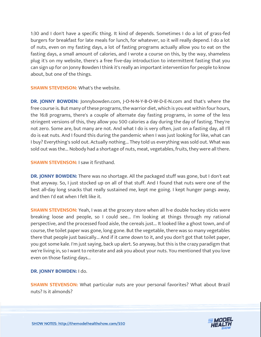1:30 and I don't have a specific thing. It kind of depends. Sometimes I do a lot of grass-fed burgers for breakfast for late meals for lunch, for whatever, so it will really depend. I do a lot of nuts, even on my fasting days, a lot of fasting programs actually allow you to eat on the fasting days, a small amount of calories, and I wrote a course on this, by the way, shameless plug it's on my website, there's a free five-day introduction to intermittent fasting that you can sign up for on Jonny Bowden I think it's really an important intervention for people to know about, but one of the things.

**SHAWN STEVENSON:** What's the website.

**DR. JONNY BOWDEN:** Jonnybowden.com, J-O-N-N-Y-B-O-W-D-E-N.com and that's where the free course is. But many of these programs, the warrior diet, which is you eat within four hours, the 16:8 programs, there's a couple of alternate day fasting programs, in some of the less stringent versions of this, they allow you 500 calories a day during the day of fasting. They're not zero. Some are, but many are not. And what I do is very often, just on a fasting day, all I'll do is eat nuts. And I found this during the pandemic when I was just looking for like, what can I buy? Everything's sold out. Actually nothing... They told us everything was sold out. What was sold out was the... Nobody had a shortage of nuts, meat, vegetables, fruits, they were all there.

#### **SHAWN STEVENSON: I saw it firsthand.**

**DR. JONNY BOWDEN:** There was no shortage. All the packaged stuff was gone, but I don't eat that anyway. So, I just stocked up on all of that stuff. And I found that nuts were one of the best all-day long snacks that really sustained me, kept me going. I kept hunger pangs away, and then I'd eat when I felt like it.

**SHAWN STEVENSON:** Yeah, I was at the grocery store when all h-e double hockey sticks were breaking loose and people, so I could see... I'm looking at things through my rational perspective, and the processed food aisle, the cereals just... It looked like a ghost town, and of course, the toilet paper was gone, long gone. But the vegetable, there was so many vegetables there that people just basically... And if it came down to it, and you don't got that toilet paper, you got some kale. I'm just saying, back up alert. So anyway, but this is the crazy paradigm that we're living in, so I want to reiterate and ask you about your nuts. You mentioned that you love even on those fasting days...

#### **DR. JONNY BOWDEN:** I do.

**SHAWN STEVENSON:** What particular nuts are your personal favorites? What about Brazil nuts? Is it almonds?

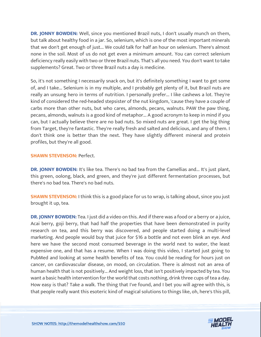**DR. JONNY BOWDEN:** Well, since you mentioned Brazil nuts, I don't usually munch on them, but talk about healthy food in a jar. So, selenium, which is one of the most important minerals that we don't get enough of just... We could talk for half an hour on selenium. There's almost none in the soil. Most of us do not get even a minimum amount. You can correct selenium deficiency really easily with two or three Brazil nuts. That's all you need. You don't want to take supplements? Great. Two or three Brazil nuts a day is medicine.

So, it's not something I necessarily snack on, but it's definitely something I want to get some of, and I take... Selenium is in my multiple, and I probably get plenty of it, but Brazil nuts are really an unsung hero in terms of nutrition. I personally prefer... I like cashews a lot. They're kind of considered the red-headed stepsister of the nut kingdom, 'cause they have a couple of carbs more than other nuts, but who cares, almonds, pecans, walnuts. PAW the paw thing, pecans, almonds, walnuts is a good kind of metaphor... A good acronym to keep in mind if you can, but I actually believe there are no bad nuts. So mixed nuts are great. I get the big thing from Target, they're fantastic. They're really fresh and salted and delicious, and any of them. I don't think one is better than the next. They have slightly different mineral and protein profiles, but they're all good.

#### **SHAWN STEVENSON: Perfect.**

**DR. JONNY BOWDEN:** It's like tea. There's no bad tea from the Camellias and... It's just plant, this green, oolong, black, and green, and they're just different fermentation processes, but there's no bad tea. There's no bad nuts.

**SHAWN STEVENSON:** I think this is a good place for us to wrap, is talking about, since you just brought it up, tea.

**DR. JONNY BOWDEN:** Tea. I just did a video on this. And if there was a food or a berry or a juice, Acai berry, goji berry, that had half the properties that have been demonstrated in purity research on tea, and this berry was discovered, and people started doing a multi-level marketing. And people would buy that juice for \$16 a bottle and not even blink an eye. And here we have the second most consumed beverage in the world next to water, the least expensive one, and that has a resume. When I was doing this video, I started just going to PubMed and looking at some health benefits of tea. You could be reading for hours just on cancer, on cardiovascular disease, on mood, on circulation. There is almost not an area of human health that is not positively... And weight loss, that isn't positively impacted by tea. You want a basic health intervention for the world that costs nothing, drink three cups of tea a day. How easy is that? Take a walk. The thing that I've found, and I bet you will agree with this, is that people really want this esoteric kind of magical solutions to things like, oh, here's this pill,

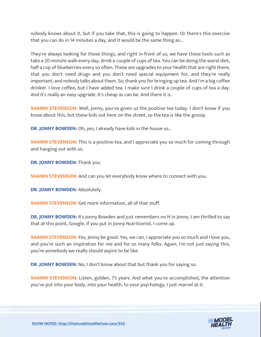nobody knows about it, but if you take that, this is going to happen. Or there's this exercise that you can do in 14 minutes a day, and it would be the same thing as...

They're always looking for those things, and right in front of us, we have these tools such as take a 20-minute walk every day, drink a couple of cups of tea. You can be doing the worst diet, half a cup of blueberries every so often. These are upgrades to your health that are right there, that you don't need drugs and you don't need special equipment for, and they're really important, and nobody talks about them. So, thank you for bringing up tea. And I'm a big coffee drinker. I love coffee, but I have added tea. I make sure I drink a couple of cups of tea a day. And it's really an easy upgrade. It's cheap as can be. And there it is.

**SHAWN STEVENSON:** Well, Jonny, you've given us the positive tea today. I don't know if you know about this, but these kids out here on the street, so the tea is like the gossip.

**DR. JONNY BOWDEN:** Oh, yes, I already have kids in the house so...

**SHAWN STEVENSON:** This is a positive tea, and I appreciate you so much for coming through and hanging out with us.

**DR. JONNY BOWDEN:** Thank you.

**SHAWN STEVENSON:** And can you let everybody know where to connect with you.

**DR. JONNY BOWDEN:** Absolutely.

**SHAWN STEVENSON:** Get more information, all of that stuff.

**DR. JONNY BOWDEN:** It's Jonny Bowden and just remembers no H in Jonny. I am thrilled to say that at this point, Google, if you put in Jonny Nutritionist, I come up.

**SHAWN STEVENSON:** Yes, Jonny be good. Yes, we can. I appreciate you so much and I love you, and you're such an inspiration for me and for so many folks. Again, I'm not just saying this, you're somebody we really should aspire to be like.

**DR. JONNY BOWDEN:** No, I don't know about that but thank you for saying so.

**SHAWN STEVENSON:** Listen, golden, 75 years. And what you've accomplished, the attention you've put into your body, into your health, to your psychology, I just marvel at it.

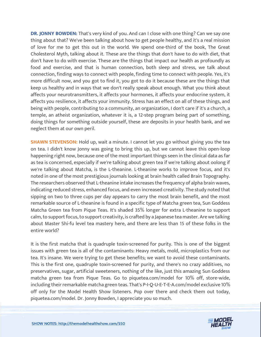**DR. JONNY BOWDEN:** That's very kind of you. And can I close with one thing? Can we say one thing about that? We've been talking about how to get people healthy, and it's a real mission of love for me to get this out in the world. We spend one-third of the book, The Great Cholesterol Myth, talking about it. These are the things that don't have to do with diet, that don't have to do with exercise. These are the things that impact our health as profoundly as food and exercise, and that is human connection, both sleep and stress, we talk about connection, finding ways to connect with people, finding time to connect with people. Yes, it's more difficult now, and you got to find it, you got to do it because these are the things that keep us healthy and in ways that we don't really speak about enough. What you think about affects your neurotransmitters, it affects your hormones, it affects your endocrine system, it affects you resilience, it affects your immunity. Stress has an effect on all of these things, and being with people, contributing to a community, an organization, I don't care if it's a church, a temple, an atheist organization, whatever it is, a 12-step program being part of something, doing things for something outside yourself, these are deposits in your health bank, and we neglect them at our own peril.

**SHAWN STEVENSON:** Hold up, wait a minute. I cannot let you go without giving you the tea on tea. I didn't know Jonny was going to bring this up, but we cannot leave this open-loop happening right now, because one of the most important things seen in the clinical data as far as tea is concerned, especially if we're talking about green tea if we're talking about oolong if we're talking about Matcha, is the L-theanine. L-theanine works to improve focus, and it's noted in one of the most prestigious journals looking at brain health called Brain Topography. The researchers observed that L-theanine intake increases the frequency of alpha brain waves, indicating reduced stress, enhanced focus, and even increased creativity. The study noted that sipping on two to three cups per day appears to carry the most brain benefit, and the most remarkable source of L-theanine is found in a specific type of Matcha green tea, Sun Goddess Matcha Green tea from Pique Teas. It's shaded 35% longer for extra L-theanine to support calm, to support focus, to support creativity, is crafted by a Japanese tea master. Are we talking about Master Shi-fu level tea mastery here, and there are less than 15 of these folks in the entire world?

It is the first matcha that is quadruple toxin-screened for purity. This is one of the biggest issues with green tea is all of the contaminants: Heavy metals, mold, microplastics from our tea. It's insane. We were trying to get these benefits; we want to avoid these contaminants. This is the first one, quadruple toxin-screened for purity, and there's no crazy additives, no preservatives, sugar, artificial sweeteners, nothing of the like, just this amazing Sun Goddess matcha green tea from Pique Teas. Go to piquetea.com/model for 10% off, store-wide, including their remarkable matcha green teas. That's P-I-Q-U-E-T-E-A.com/model exclusive 10% off only for the Model Health Show listeners. Pop over there and check them out today, piquetea.com/model. Dr. Jonny Bowden, I appreciate you so much.